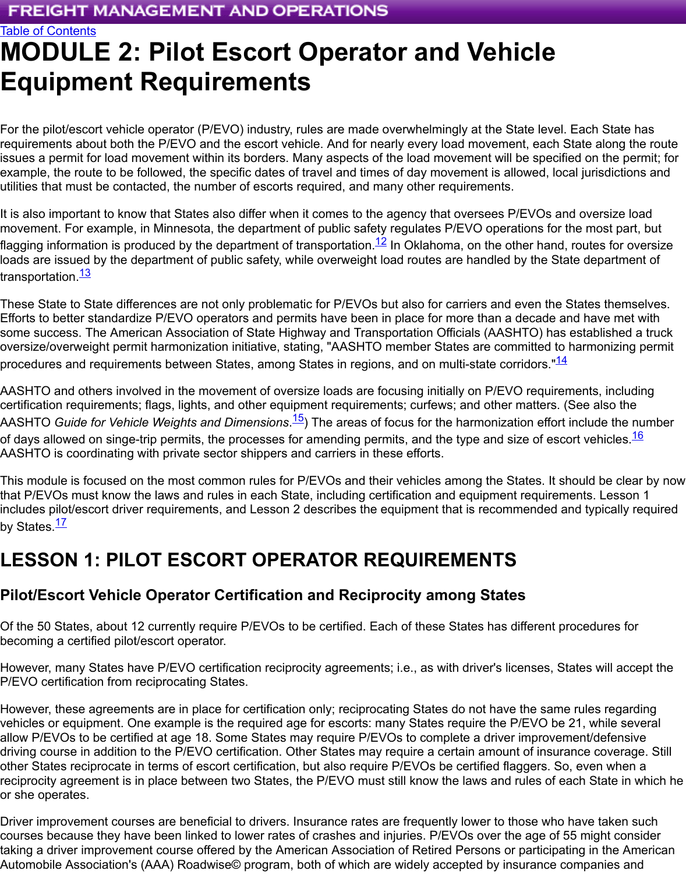[For the pilot/escort vehicle operator \(P/EVO\) industry, rules are made o](https://ops.fhwa.dot.gov/freight/index.cfm)verwhelmingly at the State level. Each [requirements abo](https://ops.fhwa.dot.gov/publications/fhwahop16050/index.htm)ut both the P/EVO and the escort vehicle. And for nearly every load movement, each State issues a permit for load movement within its borders. Many aspects of the load movement will be specified example, the route to be followed, the specific dates of travel and times of day movement is allowed, local utilities that must be contacted, the number of escorts required, and many other requirements.

It is also important to know that States also differ when it comes to the agency that oversees P/EVOs and of movement. For example, in Minnesota, the department of public safety regulates P/EVO operations for the flagging information is produced by the department of transportation.<sup>12</sup> In Oklahoma, on the other hand, ro loads are issued by the department of public safety, while overweight load routes are handled by the State transportation.<sup>13</sup>

These State to State differences are not only problematic for P/EVOs but also for carriers and even the States Efforts to better standardize P/EVO operators and permits have been in place for more than a decade and some success. The American Association of State Highway and Transportation Officials (AASHTO) has es oversize/overweight permit harmonization initiative, stating, "AASHTO member States are committed to ha procedures and requirements between States, among States in regi[ons](#page-6-0), and on multi-state corridors."<sup>14</sup>

<span id="page-0-0"></span>AASHTO and [oth](#page-6-1)ers involved in the movement of oversize loads are focusing initially on P/EVO requireme certification requirements; flags, lights, and other equipment requirements; curfews; and other matters. (Se AASHTO *Guide for Vehicle Weights and Dimensions*.<sup>15</sup>) The areas of focus for the harmonization effort inc of days allowed on singe-trip permits, the processes for amending permits, and the type and size of escort AASHTO is coordinating with private sector shippers and carriers in these efforts.

<span id="page-0-1"></span>This module is focused on the most common rules for P/EVOs and their vehicles among the States. I[t sh](#page-6-2)oul that P/EVOs must know the laws and rules in each State, including certification and equipment requiremen includes pilot/escort driver requirements, and Lesson 2 describes the equipment that is recommended and by States.<sup>17</sup>

# <span id="page-0-2"></span>**LESSON 1: PILOT ESCORT OPERATOR REQUIREMENTS**

# **Pilot/Escort Vehicle Operator Certification and Reciprocity among States**

<span id="page-0-3"></span>Of the 50 States, about 12 currently require P/EVOs to be certified. Each of these States has different proc becoming [a](#page-6-3) certified pilot/escort operator.

However, many States have P/EVO certification reciprocity agreements; i.e., as with driver's licenses, State P/EVO certification from reciprocating States.

However, these agreements are in place for certification only; reciprocating States do not have the same rul vehicles or equipment. One example is the required age for escorts: many States require the P/EVO be 21 allow P/EVOs to be certified at age 18. Some States may require P/EVOs to complete a driver improvemer driving course in addition to the P/EVO certification. Other States may require a certain amount of insurance other States reciprocate in terms of escort certification, but also require P/EVOs be certified flaggers. So, e reciprocity agreement is in place between two States, the P/EVO must still know the laws and rules of each or she operates.

Driver improvement courses are beneficial to drivers. Insurance rates are frequently lower to those who have courses because they have been linked to lower rates of crashes and injuries. P/EVOs over the age of 55 i taking a driver improvement course offered by the American Association of Retired Persons or participating Automobile Association's (AAA) Roadwise© program, both of which are widely accepted by insurance com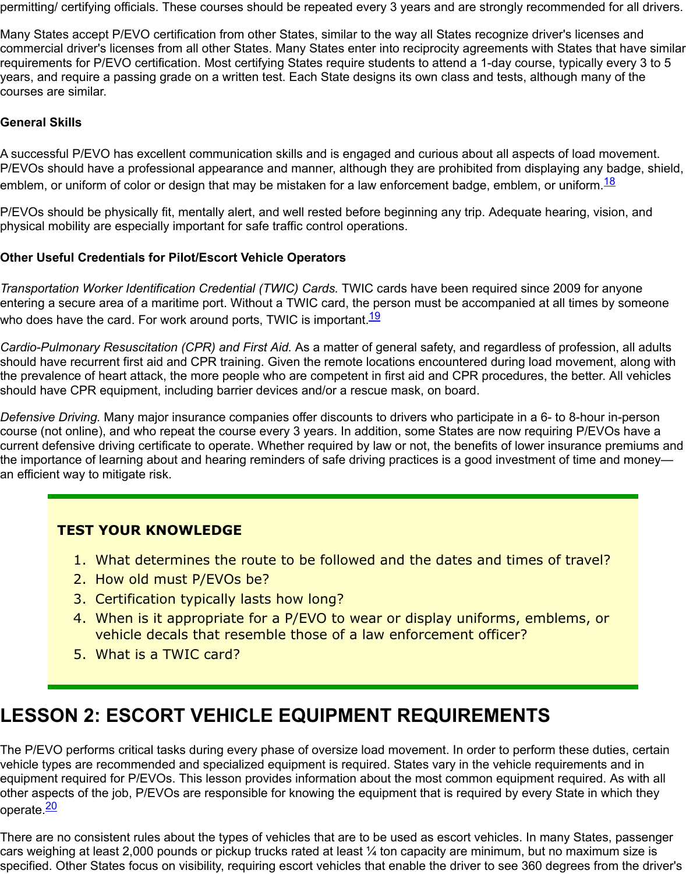#### **General Skills**

A successful P/EVO has excellent communication skills and is engaged and curious about all aspects of lo P/EVOs should have a professional appearance and manner, although they are prohibited from displaying emblem, or uniform of color or design that may be mistaken for a law enforcement badge, emblem, or uniform

P/EVOs should be physically fit, mentally alert, and well rested before beginning any trip. Adequate hearing physical mobility are especially important for safe traffic control operations.

#### **Other Useful Credentials for Pilot/Escort Vehicle Operators**

*Transportation Worker Identification Credential (TWIC) Cards.* TWIC cards have been required since 2009 entering a secure area of a maritime port. Without a TWIC card, the person must be accompanied at all tim who does have the card. For work around ports, TWIC is important. $\frac{19}{19}$ 

Cardio-Pulmonary Resuscitation (CPR) and First Aid. As a matter of general safety, and regardless of profe should have recurrent first aid and CPR training. Given the remote locations encountered during load move the prevalence of heart attack, the more people who are competent in first aid and CPR procedures, the be should have CPR equipment, including barrier devices and/or a rescue mask, on board.

*Defensive Driving.* Many major insurance companies offer discounts to drivers who participate in a 6- to 8-l course (not online), and who repeat the course every 3 years. In ad[dit](#page-6-5)ion, some States are now requiring P current defensive driving certificate to operate. Whether required by law or not, the benefits of lower insura the importance of learning about and hearing reminders of safe driving practices is a good investment of tir an efficient way to mitigate risk.

#### **TEST YOUR KNOWLEDGE**

- <span id="page-1-1"></span><span id="page-1-0"></span>1. What determines the route to be followed and the dates and times of tra
- 2. How old must P/EVOs be?
- 3. Certification typically lasts how long?
- 4. When is it appropriate for a P/EVO to wear or display uniforms, emblems vehicle decals that resemble those of a law enforcement officer?
- 5. What is a TWIC card?

# **LESSON 2: ESCORT VEHICLE EQUIPMENT REQUIREMENTS**

The P/EVO performs critical tasks during every phase of oversize load movement. In order to perform thes vehicle types are recommended and specialized equipment is required. States vary in the vehicle requirem equipment required for P/EVOs. This lesson provides information about the most common equipment requ other aspects of the job, P/EVOs are responsible for knowing the equipment that is required by every State operate.<sup>20</sup>

<span id="page-1-2"></span>There are no consistent rules about the types of vehicles that are to be used as escort vehicles. In many States cars weighing at least 2,000 pounds or pickup trucks rated at least  $\%$  ton capacity are minimum, but no ma specified. Other States focus on visibility, requiring escort vehicles that enable the driver to see 360 degree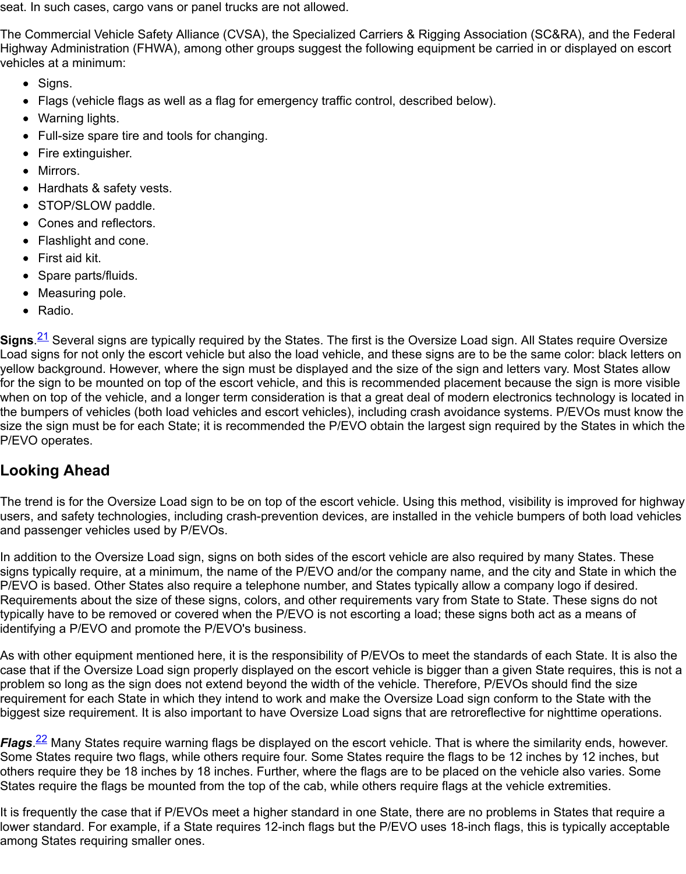- Warning lights.
- Full-size spare tire and tools for changing.
- Fire extinguisher.
- Mirrors.
- Hardhats & safety vests.
- STOP/SLOW paddle.
- Cones and reflectors.
- Flashlight and cone.
- First aid kit.
- Spare parts/fluids.
- Measuring pole.
- Radio.

**Signs**.<sup>21</sup> Several signs are typically required by the States. The first is the Oversize Load sign. All States re Load signs for not only the escort vehicle but also the load vehicle, and these signs are to be the same color yellow background. However, where the sign must be displayed and the size of the sign and letters vary. M for the sign to be mounted on top of the escort vehicle, and this is recommended placement because the sign is when on top of the vehicle, and a longer term consideration is that a great deal of modern electronics techr the bumpers of vehicles (both load vehicles and escort vehicles), including crash avoidance systems. P/EV size the sign must be for each State; it is recommended the P/EVO obtain the largest sign required by the States P/EVO operates.

### <span id="page-2-0"></span>**Looking Ahead**

The trend is for the Oversize Load sign to be on top of the escort vehicle. Using this method, visibility is imp users, and safety technologies, including crash-prevention devices, are installed in the vehicle bumpers of and passenger vehicles used by P/EVOs.

In addition to the Oversize Load sign, signs on both sides of the escort vehicle are also required by many S signs typically require, at a minimum, the name of the P/EVO and/or the company name, and the city and State in P/EVO is based. Other States also require a telephone number, and States typically allow a company logo Requirements about the size of these signs, colors, and other requirements vary from State to State. These typically have to be removed or covered when the P/EVO is not escorting a load; these signs both act as a identifying a P/EVO and promote the P/EVO's business.

As with other equipment mentioned here, it is the responsibility of P/EVOs to meet the standards of each S case that if the Oversize Load sign properly displayed on the escort vehicle is bigger than a given State require problem so long as the sign does not extend beyond the width of the vehicle. Therefore, P/EVOs should fir requirement for each State in which they intend to work and make the Oversize Load sign conform to the S biggest size requirement. It is also important to have Oversize Load signs that are retroreflective for nighttii

Flags.<sup>22</sup> Many States require warning flags be displayed on the escort vehicle. That is where the similarity Some States require two flags, while others require four. Some States require the flags to be 12 inches by others require they be 18 inches by 18 inches. Further, where the flags are to be placed on the vehicle also States require the flags be mounted from the top of the cab, while others require flags at the vehicle extrem

<span id="page-2-1"></span>It is frequently the case that if P/EVOs meet a higher standard in one State, there are no problems in State lower standard. For example, if a State requires 12-inch flags but the P/EVO uses 18-inch flags, this is typi among States requiring smaller ones.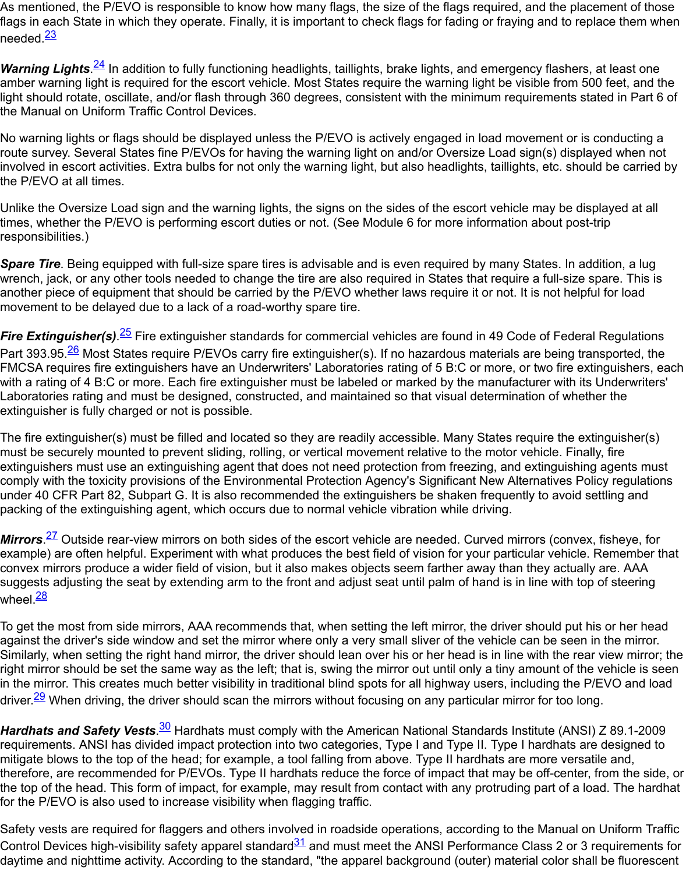No warning lights or flags should be displayed unless the P/EVO is actively engaged in load movement or i route su[rve](#page-6-6)y. Several States fine P/EVOs for having the warning light on and/or Oversize Load sign(s) disp involved in escort activities. Extra bulbs for not only the warning light, but also headlights, taillights, etc. sho the P/EVO at all [tim](#page-6-7)es.

<span id="page-3-0"></span>Unlike the Oversize Load sign and the warning lights, the signs on the sides of the escort vehicle may be display times, whether the P/EVO is performing escort duties or not. (See Module 6 for more information about pos responsibilities.)

**Spare Tire**. Being equipped with full-size spare tires is advisable and is even required by many States. In a wrench, jack, or any other tools needed to change the tire are also required in States that require a full-size another piece of equipment that should be carried by the P/EVO whether laws require it or not. It is not help movement to be delayed due to a lack of a road-worthy spare tire.

*Fire Extinguisher(s).<sup>25</sup>* Fire extinguisher standards for commercial vehicles are found in 49 Code of Feder Part 393.95.<sup>26</sup> Most States require P/EVOs carry fire extinguisher(s). If no hazardous materials are being t FMCSA requires fire extinguishers have an Underwriters' Laboratories rating of 5 B:C or more, or two fire e with a rating of 4 B:C or more. Each fire extinguisher must be labeled or marked by the manufacturer with it Laboratories rating and must be designed, constructed, and maintained so that visual determination of whe extinguisher is fully charged or not is possible.

<span id="page-3-1"></span>The fire extinguisher(s) must be filled and located so they are readily accessible. Many States require the e must be securely mo[unt](#page-6-8)ed to prevent sliding, rolling, or vertical movement relative to the motor vehicle. Fin extinguisher[s m](#page-6-9)ust use an extinguishing agent that does not need protection from freezing, and extinguishi comply with the toxicity provisions of the Environmental Protection Agency's Significant New Alternatives Poli under 40 CFR Part 82, Subpart G. It is also recommended the extinguishers be shaken frequently to avoid packing of the extinguishing agent, which occurs due to normal vehicle vibration while driving.

*Mirrors.<sup>27</sup>* Outside rear-view mirrors on both sides of the escort vehicle are needed. Curved mirrors (conve example) are often helpful. Experiment with what produces the best field of vision for your particular vehicle convex mirrors produce a wider field of vision, but it also makes objects seem farther away than they actual suggests adjusting the seat by extending arm to the front and adjust seat until palm of hand is in line with to wheel.<sup>28</sup>

To get the most from side mirrors, AAA recommends that, when setting the left mirror, the driver should put against the driver's side window and set the mirror where only a very small sliver of the vehicle can be seen Similarl[y, w](#page-6-10)hen setting the right hand mirror, the driver should lean over his or her head is in line with the re right mirror should be set the same way as the left; that is, swing the mirror out until only a tiny amount of th in the mirror. This creates much better visibility in traditional blind spots for all highway users, including the driver.<sup><u>29</u></sup> When driving, the driver should scan the mirrors without focusing on any particular mirror for too lo

*Hardhats and Safety Vests.<sup>30</sup>* Hardhats must comply with the American National Standards Institute (ANS requirements. ANSI has divided impact protection into two categories, Type I and Type II. Type I hardhats a mitigate blows to the top of the head; for example, a tool falling from above. Type II hardhats are more vers therefore, are recommended for P/EVOs. Type II hardhats reduce the force of impact that may be off-cente the top of the head. This form of impact, for example, may result from contact with any protruding part of a for the P/EVO is also used to increase visibility when flagging traffic.

<span id="page-3-3"></span><span id="page-3-2"></span>Safety vests are required for flaggers and others involved in roadside operations, according to the Manual Control Devices high-visibilit[y s](#page-7-0)afety apparel standard $\frac{31}{2}$  and must meet the ANSI Performance Class 2 or 3 daytime and nighttime activity. According to the standard, "the apparel background (outer) material color shall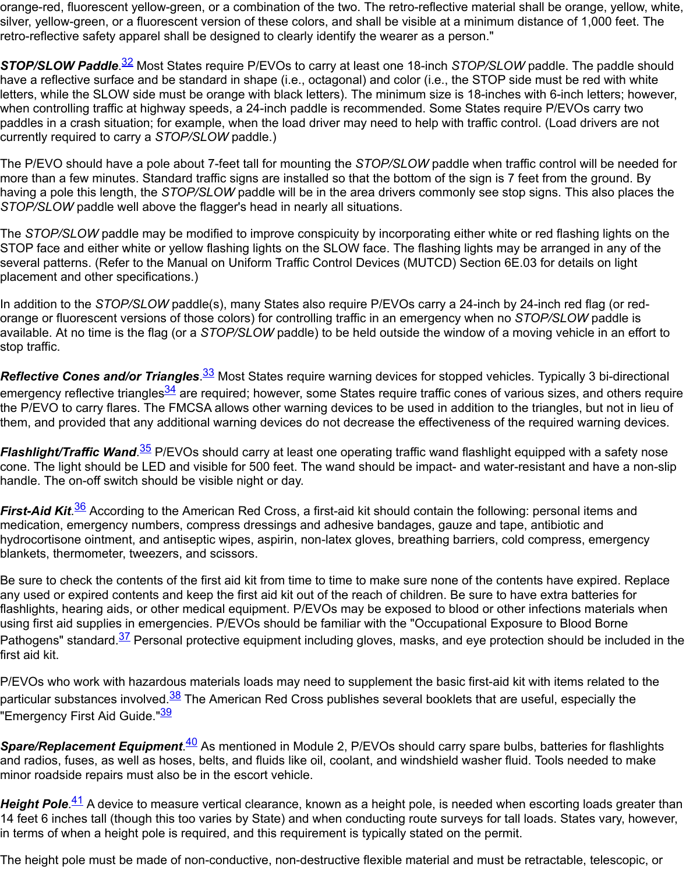paddles in a crash situation; for example, when the load driver may need to help with traffic control. (Load d currently required to carry a *STOP/SLOW* paddle.)

The P/EVO should have a pole about 7-feet tall for mounting the *STOP/SLOW* paddle when traffic control will more than a few minu[tes](#page-7-1). Standard traffic signs are installed so that the bottom of the sign is 7 feet from the having a pole this length, the *STOP/SLOW* paddle will be in the area drivers commonly see stop signs. Thi *STOP/SLOW* paddle well above the flagger's head in nearly all situations.

The *STOP/SLOW* paddle may be modified to improve conspicuity by incorporating either white or red flash STOP face and either white or yellow flashing lights on the SLOW face. The flashing lights may be arrange several patterns. (Refer to the Manual on Uniform Traffic Control Devices (MUTCD) Section 6E.03 for deta placement and other specifications.)

In addition to the *STOP/SLOW* paddle(s), many States also require P/EVOs carry a 24-inch by 24-inch red orange or fluorescent versions of those colors) for controlling traffic in an emergency when no *STOP/SLOV* available. At no time is the flag (or a *STOP/SLOW* paddle) to be held outside the window of a moving vehic stop traffic.

*Reflective Cones and/or Triangles.<sup>33</sup>* Most States require warning devices for stopped vehicles. Typically emergency reflective triangles<sup>34</sup> are required; however, some States require traffic cones of various sizes, the P/EVO to carry flares. The FMCSA allows other warning devices to be used in addition to the triangles, them, and provided that any additional warning devices do not decrease the effectiveness of the required v

*Flashlight/Traffic Wand.<sup>35</sup> P/EVOs should carry at least one operating traffic wand flashlight equipped wit* cone. The light should be LED and visible for 500 feet. The wand should be impact- and water-resistant an handle. The on-off switch should be [visi](#page-7-2)ble night or day.

<span id="page-4-0"></span>First-Aid Kit.<sup>36</sup> According to [the](#page-7-3) American Red Cross, a first-aid kit should contain the following: personal medication, emergency numbers, compress dressings and adhesive bandages, gauze and tape, antibiotic hydrocortisone ointment, and antiseptic wipes, aspirin, non-latex gloves, breathing barriers, cold compress blankets, thermometer, tweezers, and scissors.

<span id="page-4-2"></span><span id="page-4-1"></span>Be sure to check the contents of the first aid kit from time to time to make sure none of the contents have e any used or expired contents and keep the first aid kit out of the reach of children. Be sure to have extra ba flashlights, hearing aids, or other medical equipment. P/EVOs may be exposed to blood or other infections using first aid [su](#page-7-4)pplies in emergencies. P/EVOs should be familiar with the "Occupational Exposure to Bloc Pathogens" standard.<sup>37</sup> Personal protective equipment including gloves, masks, and eve protection should first aid kit.

P/EVOs who work with hazardous materials loads may need to supplement the basic first-aid kit with items particular substances involved.<sup>38</sup> The American Red Cross publishes several booklets that are useful, esp "Emergency First Aid Guide."<sup>39</sup>

**Spare/Replacement Equipment.<sup>40</sup> As** mentioned in Module 2, P/EVOs should carry spare bulbs, batteries and radios, fuses, as [we](#page-7-5)ll as hoses, belts, and fluids like oil, coolant, and windshield washer fluid. Tools ne minor roadside repairs must also be in the escort vehicle.

<span id="page-4-3"></span>Height Pole.<sup>41</sup> A device to measure vertical clearance, known as a height pole, is needed when escorting 14 feet 6 inche[s t](#page-7-6)all (though this too varies by State) and when conducting route surveys for tall loads. Stat in terms of when a height pol[e is](#page-7-7) required, and this requirement is typically stated on the permit.

<span id="page-4-5"></span><span id="page-4-4"></span>The height pole must be made of [no](#page-7-8)n-conductive, non-destructive flexible material and must be retractable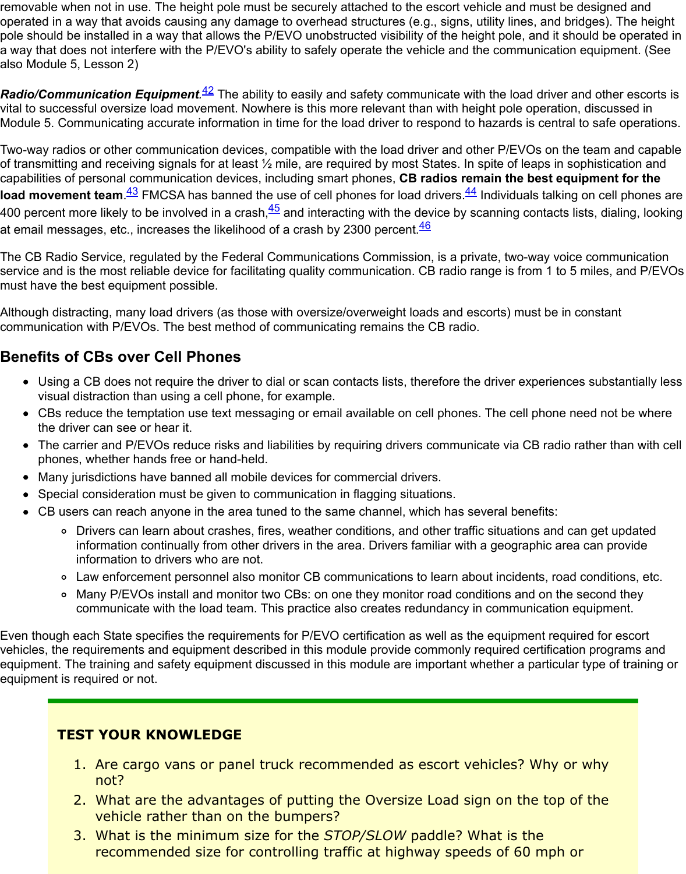Module 5. Communicating accurate information in time for the load driver to respond to hazards is central t

Two-way radios or other communication devices, compatible with the load driver and other P/EVOs on the of transmitting and receiving signals for at least 1/2 mile, are required by most States. In spite of leaps in sop capabilities of personal communication devices, including smart phones, CB radios remain the best equi **load movement team**. <sup>43</sup> FMCSA has banned the use of cell phones for load drivers. <sup>44</sup> Individuals talking on 400 percent more likely to be involve[d in](#page-7-9) a crash,<sup>45</sup> and interacting with the device by scanning contacts lis at email messages, etc., increases the likelihood of a crash by 2300 percent. $\frac{46}{5}$ 

<span id="page-5-0"></span>The CB Radio Service, regulated by the Federal Communications Commission, is a private, two-way voice service and is the most reliable device for facilitating quality communication. CB radio range is from 1 to 5 i must have the best equipment possible.

Although distracting, m[an](#page-7-10)y load drivers (as those with oversize/overweight loads and [es](#page-7-11)corts) must be in const communication with P/EVOs. The best method o[f co](#page-7-12)mmunicating remains the CB radio.

# **Benefits of CBs over Cell Phones**

- <span id="page-5-2"></span><span id="page-5-1"></span>• Using a CB does not require the driver to dial or scan contacts lists, therefore the driver experiences visual distraction than using a cell phone, for example.
- CBs reduce the temptation use text messaging or email available on cell phones. The cell phone ne the driver can see or hear it.
- The carrier and P/EVOs reduce risks and liabilities by requiring drivers communicate via CB radio rather than with cells phones, whether hands free or hand-held.
- Many jurisdictions have banned all mobile devices for commercial drivers.
- Special consideration must be given to communication in flagging situations.
- CB users can reach anyone in the area tuned to the same channel, which has several benefits:
	- o Drivers can learn about crashes, fires, weather conditions, and other traffic situations and can information continually from other drivers in the area. Drivers familiar with a geographic area information to drivers who are not.
	- <sup>o</sup> Law enforcement personnel also monitor CB communications to learn about incidents, road o
	- o Many P/EVOs install and monitor two CBs: on one they monitor road conditions and on the s communicate with the load team. This practice also creates redundancy in communication equipment.

Even though each State specifies the requirements for P/EVO certification as well as the equipment require vehicles, the requirements and equipment described in this module provide commonly required certification equipment. The training and safety equipment discussed in this module are important whether a particular equipment is required or not.

### **TEST YOUR KNOWLEDGE**

- 1. Are cargo vans or panel truck recommended as escort vehicles? Why or not?
- 2. What are the advantages of putting the Oversize Load sign on the top of vehicle rather than on the bumpers?
- 3. What is the minimum size for the *STOP/SLOW* paddle? What is the recommended size for controlling traffic at highway speeds of 60 mph or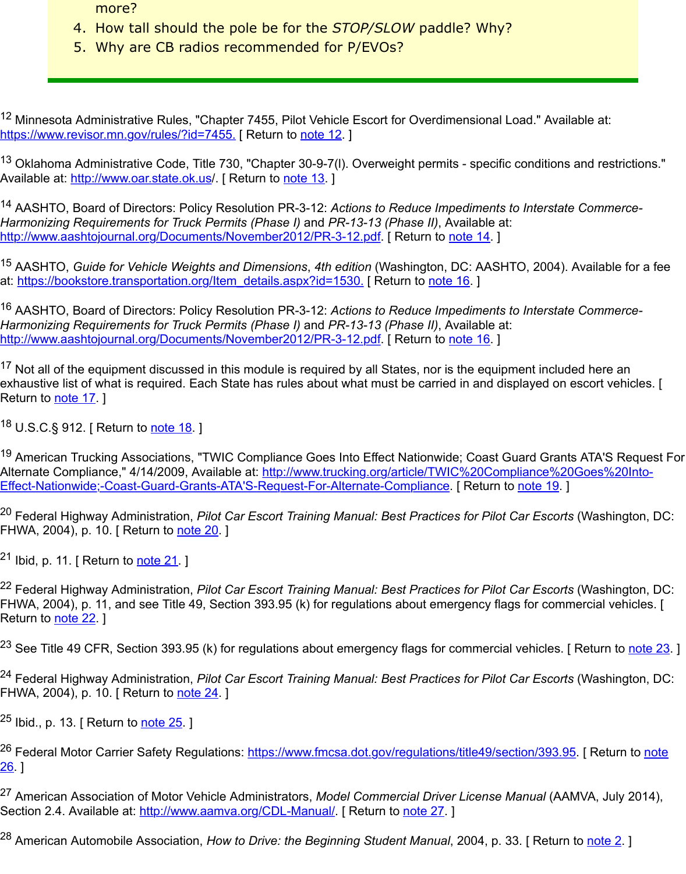12 Minnesota Administrative Rules, "Chapter 7455, Pilot Vehicle Escort for Overdimensional Load." Available at: https://www.revisor.mn.gov/rules/?id=7455. [ Return to note 12. ]

 $13$  Oklahoma Administrative Code, Title 730, "Chapter 30-9-7(I). Overweight permits - specific conditions and Available at: http://www.oar.state.ok.us/. [ Return to note 13. ]

<span id="page-6-0"></span><sup>14</sup> AASHTO, Board of Directors: Policy Resolution PR-3-12: Actions to Reduce Impediments to Interstate ( *Harmonizing Requirements for Truck Permits (Phase I)* and *PR-13-13 (Phase II)*, Available at: http://www.aashtojournal.org/Documents/November2012/PR-3-12.pdf. [ Return to note 14. ]

<span id="page-6-1"></span><sup>[15](https://www.revisor.mn.gov/rules/?id=7455)</sup> AASHTO, *Guide for Vehicle Weights and Dimensions*, 4th edition (Washington, DC: AASHTO, 2004). Av at: https://bookstore.transportation.org/Item\_details.aspx?id=1530. [ Return to note 16. ]

<span id="page-6-2"></span><sup>16</sup> AASHTO, [Board of Directors: Policy](http://www.oar.state.ok.us/) Resolution [PR-3-12:](#page-0-0) Actions to Reduce Impediments to Interstate ( *Harmonizing Requirements for Truck Permits (Phase I)* and *PR-13-13 (Phase II)*, Available at: http://www.aashtojournal.org/Documents/November2012/PR-3-12.pdf. [ Return to note 16. ]

 $17$  Not all of the equipment discussed in this module is required by all States, nor is the equipment included exhaustive list of what is required. Each State has rules about what must be carried in and displayed on es Return to note 17. 1

18 U.S.C.§ 912. [ Return to note 18. ]

<span id="page-6-3"></span>19 [American Trucking Associations, "TWIC Compliance Goes Into Effe](https://www.fhwa.dot.gov/exit.cfm?link=http://www.aashtojournal.org/Documents/November2012/PR-3-12.pdf)ct Nationwi[de; Coas](#page-0-2)t Guard Grants A Alternate Compliance," 4/14/2009, Available at: http://www.trucking.org/article/TWIC%20Compliance%20G Effect-Nationwide;-Coast-Guard-Grants-ATA'S-Request-For-Alternate-Compliance. [ Return to note 19. ]

<sup>20</sup> Feder[al Highwa](#page-0-3)y Administration, *Pilot Car Escort Training Manual: Best Practices for Pilot Car Escorts* (' FHWA, 2004), p. 10. [ Return to note 20. ]

<span id="page-6-5"></span><span id="page-6-4"></span><sup>21</sup> Ibid, p. 11. [ Return to <u>note 21</u>. ]

<sup>22</sup> Federal Highway Administration, *Pilot Car Escort Training Manual: Best Practices for Pilot Car Escorts* (' FHWA, 2004), p. 11, and see Title 49, Section 393.95 (k) for regulations about emergency flags for comme Return to <u>note 22</u>. ]

 $^{23}$  See Title 49 CFR, Section 39[3.95 \(k\)](#page-1-2) for regulations about emergency flags for commercial vehicles. [ R

<sup>24</sup> Federal Highway Adm[inistratio](#page-2-0)n, *Pilot Car Escort Training Manual: Best Practices for Pilot Car Escorts* (' FHWA, 2004), p. 10. [ Return to <u>note 24</u>. ]

<sup>25</sup> Ibid., p. 13. [ Return to <u>note 25</u>. ]

<span id="page-6-6"></span><sup>26</sup> Federal Motor Carrier Safety Regulations: <u>https://www.fmcsa.dot.gov/regulations/title49/section/393.95</u>. 26. ]

<span id="page-6-7"></span><sup>27</sup> American Association of Motor Vehicle Administrators, *Model Commercial Driver License Manual* (AAM' Section 2.4. Available at: http://[www.aam](#page-3-0)va.org/CDL-Manual/. [ Return to note 27. ]

<span id="page-6-10"></span><span id="page-6-9"></span><span id="page-6-8"></span><sup>28</sup> American Automobile [Associat](#page-3-1)ion, *How to Drive: the Beginning Student Manual*, 2004, p. 33. [ Return to